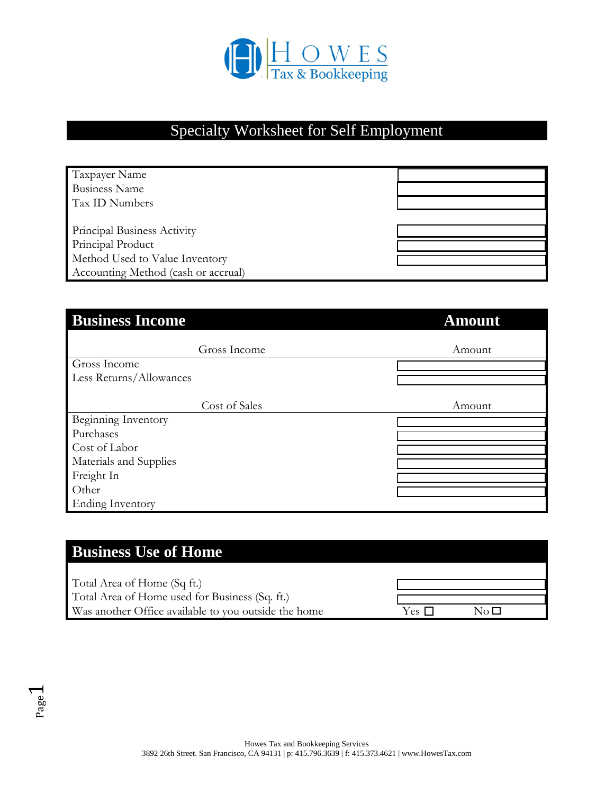

## Specialty Worksheet for Self Employment

| Taxpayer Name                       |  |
|-------------------------------------|--|
| <b>Business Name</b>                |  |
| Tax ID Numbers                      |  |
|                                     |  |
| Principal Business Activity         |  |
| Principal Product                   |  |
| Method Used to Value Inventory      |  |
| Accounting Method (cash or accrual) |  |

| <b>Business Income</b>  | <b>Amount</b> |
|-------------------------|---------------|
| Gross Income            | Amount        |
| Gross Income            |               |
| Less Returns/Allowances |               |
|                         |               |
| Cost of Sales           | Amount        |
| Beginning Inventory     |               |
| Purchases               |               |
| Cost of Labor           |               |
| Materials and Supplies  |               |
| Freight In              |               |
| Other                   |               |
| <b>Ending Inventory</b> |               |

### **Business Use of Home**

Total Area of Home (Sq ft.) Total Area of Home used for Business (Sq. ft.) Was another Office available to you outside the home

| Yes |  |
|-----|--|